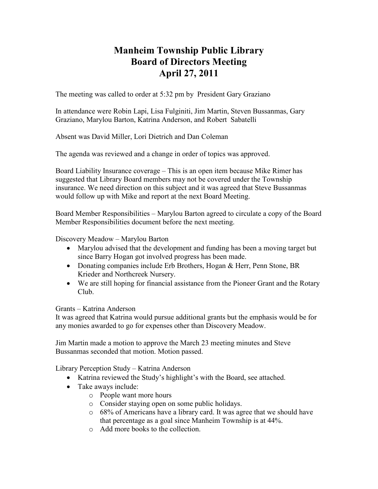## **Manheim Township Public Library Board of Directors Meeting April 27, 2011**

The meeting was called to order at 5:32 pm by President Gary Graziano

In attendance were Robin Lapi, Lisa Fulginiti, Jim Martin, Steven Bussanmas, Gary Graziano, Marylou Barton, Katrina Anderson, and Robert Sabatelli

Absent was David Miller, Lori Dietrich and Dan Coleman

The agenda was reviewed and a change in order of topics was approved.

Board Liability Insurance coverage – This is an open item because Mike Rimer has suggested that Library Board members may not be covered under the Township insurance. We need direction on this subject and it was agreed that Steve Bussanmas would follow up with Mike and report at the next Board Meeting.

Board Member Responsibilities – Marylou Barton agreed to circulate a copy of the Board Member Responsibilities document before the next meeting.

Discovery Meadow – Marylou Barton

- Marylou advised that the development and funding has been a moving target but since Barry Hogan got involved progress has been made.
- Donating companies include Erb Brothers, Hogan & Herr, Penn Stone, BR Krieder and Northcreek Nursery.
- We are still hoping for financial assistance from the Pioneer Grant and the Rotary Club.

## Grants – Katrina Anderson

It was agreed that Katrina would pursue additional grants but the emphasis would be for any monies awarded to go for expenses other than Discovery Meadow.

Jim Martin made a motion to approve the March 23 meeting minutes and Steve Bussanmas seconded that motion. Motion passed.

Library Perception Study – Katrina Anderson

- Katrina reviewed the Study's highlight's with the Board, see attached.
- Take aways include:
	- o People want more hours
	- o Consider staying open on some public holidays.
	- o 68% of Americans have a library card. It was agree that we should have that percentage as a goal since Manheim Township is at 44%.
	- o Add more books to the collection.